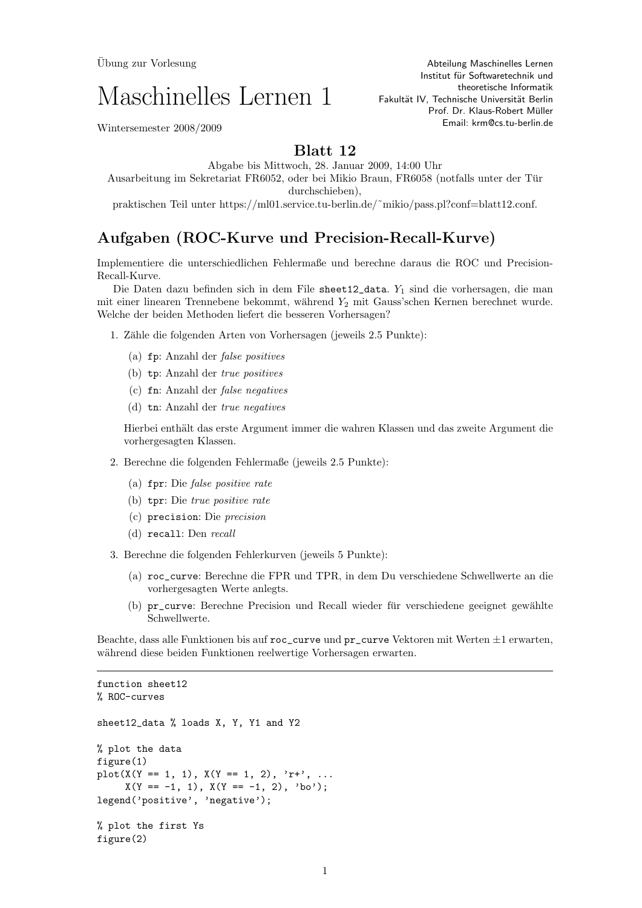## Maschinelles Lernen 1

Abteilung Maschinelles Lernen Institut für Softwaretechnik und theoretische Informatik Fakultät IV, Technische Universität Berlin Prof. Dr. Klaus-Robert Müller Email: krm@cs.tu-berlin.de

Wintersemester 2008/2009

## Blatt 12

Abgabe bis Mittwoch, 28. Januar 2009, 14:00 Uhr Ausarbeitung im Sekretariat FR6052, oder bei Mikio Braun, FR6058 (notfalls unter der Tur ¨ durchschieben),

praktischen Teil unter https://ml01.service.tu-berlin.de/˜mikio/pass.pl?conf=blatt12.conf.

## Aufgaben (ROC-Kurve und Precision-Recall-Kurve)

Implementiere die unterschiedlichen Fehlermaße und berechne daraus die ROC und Precision-Recall-Kurve.

Die Daten dazu befinden sich in dem File sheet12\_data. Y<sub>1</sub> sind die vorhersagen, die man mit einer linearen Trennebene bekommt, während  $Y_2$  mit Gauss'schen Kernen berechnet wurde. Welche der beiden Methoden liefert die besseren Vorhersagen?

1. Zähle die folgenden Arten von Vorhersagen (jeweils 2.5 Punkte):

- (a) fp: Anzahl der false positives
- (b) tp: Anzahl der true positives
- (c) fn: Anzahl der false negatives
- (d) tn: Anzahl der true negatives

Hierbei enthält das erste Argument immer die wahren Klassen und das zweite Argument die vorhergesagten Klassen.

- 2. Berechne die folgenden Fehlermaße (jeweils 2.5 Punkte):
	- (a) fpr: Die false positive rate
	- (b) tpr: Die true positive rate
	- (c) precision: Die precision
	- (d) recall: Den recall

3. Berechne die folgenden Fehlerkurven (jeweils 5 Punkte):

- (a) roc\_curve: Berechne die FPR und TPR, in dem Du verschiedene Schwellwerte an die vorhergesagten Werte anlegts.
- (b) pr\_curve: Berechne Precision und Recall wieder für verschiedene geeignet gewählte Schwellwerte.

Beachte, dass alle Funktionen bis auf roc\_curve und pr\_curve Vektoren mit Werten ±1 erwarten, während diese beiden Funktionen reelwertige Vorhersagen erwarten.

```
function sheet12
% ROC-curves
sheet12_data % loads X, Y, Y1 and Y2
% plot the data
figure(1)
plot(X(Y == 1, 1), X(Y == 1, 2), 'r+', ...X(Y == -1, 1), X(Y == -1, 2), 'bo');legend('positive', 'negative');
% plot the first Ys
figure(2)
```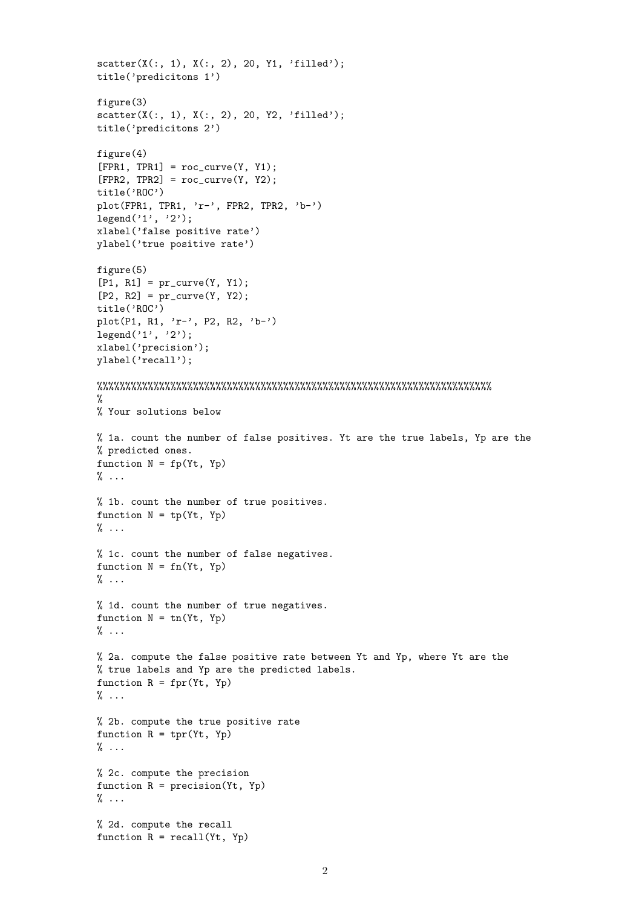```
scatter(X(:, 1), X(:, 2), 20, Y1, 'filled');
title('predicitons 1')
figure(3)
scatter(X(:, 1), X(:, 2), 20, Y2, 'filled');
title('predicitons 2')
figure(4)
[FPR1, TPR1] = roc_curve(Y, Y1);[FPR2, TPR2] = roc_curve(Y, Y2);title('ROC')
plot(FPR1, TPR1, 'r-', FPR2, TPR2, 'b-')
legend('1', '2');
xlabel('false positive rate')
ylabel('true positive rate')
figure(5)
[P1, R1] = pr_curve(Y, Y1);[P2, R2] = pr_curve(Y, Y2);title('ROC')
plot(P1, R1, 'r-', P2, R2, 'b-')
legend('1', '2');
xlabel('precision');
ylabel('recall');
%%%%%%%%%%%%%%%%%%%%%%%%%%%%%%%%%%%%%%%%%%%%%%%%%%%%%%%%%%%%%%%%%%%%%%
%
% Your solutions below
% 1a. count the number of false positives. Yt are the true labels, Yp are the
% predicted ones.
function N = fp(Yt, Yp)\% \dots% 1b. count the number of true positives.
function N = tp(Yt, Yp)% ...
% 1c. count the number of false negatives.
function N = fn(Yt, Yp)\% \dots% 1d. count the number of true negatives.
function N = tn(Yt, Yp)\% \dots% 2a. compute the false positive rate between Yt and Yp, where Yt are the
% true labels and Yp are the predicted labels.
function R = fpr(Yt, Yp)\% \dots% 2b. compute the true positive rate
function R = \text{tr}(Yt, Yp)\% \ldots% 2c. compute the precision
function R = precision(Yt, Yp)\% \dots% 2d. compute the recall
function R = recall(Yt, Yp)
```